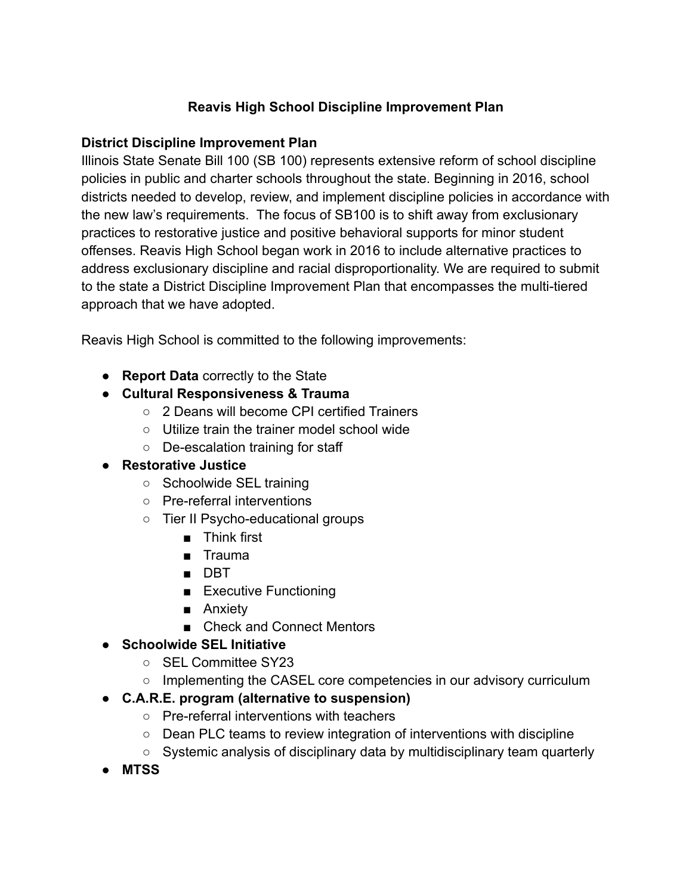## **Reavis High School Discipline Improvement Plan**

## **District Discipline Improvement Plan**

Illinois State Senate Bill 100 (SB 100) represents extensive reform of school discipline policies in public and charter schools throughout the state. Beginning in 2016, school districts needed to develop, review, and implement discipline policies in accordance with the new law's requirements. The focus of SB100 is to shift away from exclusionary practices to restorative justice and positive behavioral supports for minor student offenses. Reavis High School began work in 2016 to include alternative practices to address exclusionary discipline and racial disproportionality. We are required to submit to the state a District Discipline Improvement Plan that encompasses the multi-tiered approach that we have adopted.

Reavis High School is committed to the following improvements:

- **Report Data** correctly to the State
- **● Cultural Responsiveness & Trauma**
	- 2 Deans will become CPI certified Trainers
	- Utilize train the trainer model school wide
	- De-escalation training for staff
- **● Restorative Justice**
	- Schoolwide SEL training
	- Pre-referral interventions
	- Tier II Psycho-educational groups
		- Think first
		- Trauma
		- DBT
		- Executive Functioning
		- Anxiety
		- Check and Connect Mentors

## **● Schoolwide SEL Initiative**

- SEL Committee SY23
- o Implementing the CASEL core competencies in our advisory curriculum
- **● C.A.R.E. program (alternative to suspension)**
	- Pre-referral interventions with teachers
	- Dean PLC teams to review integration of interventions with discipline
	- Systemic analysis of disciplinary data by multidisciplinary team quarterly
- **● MTSS**